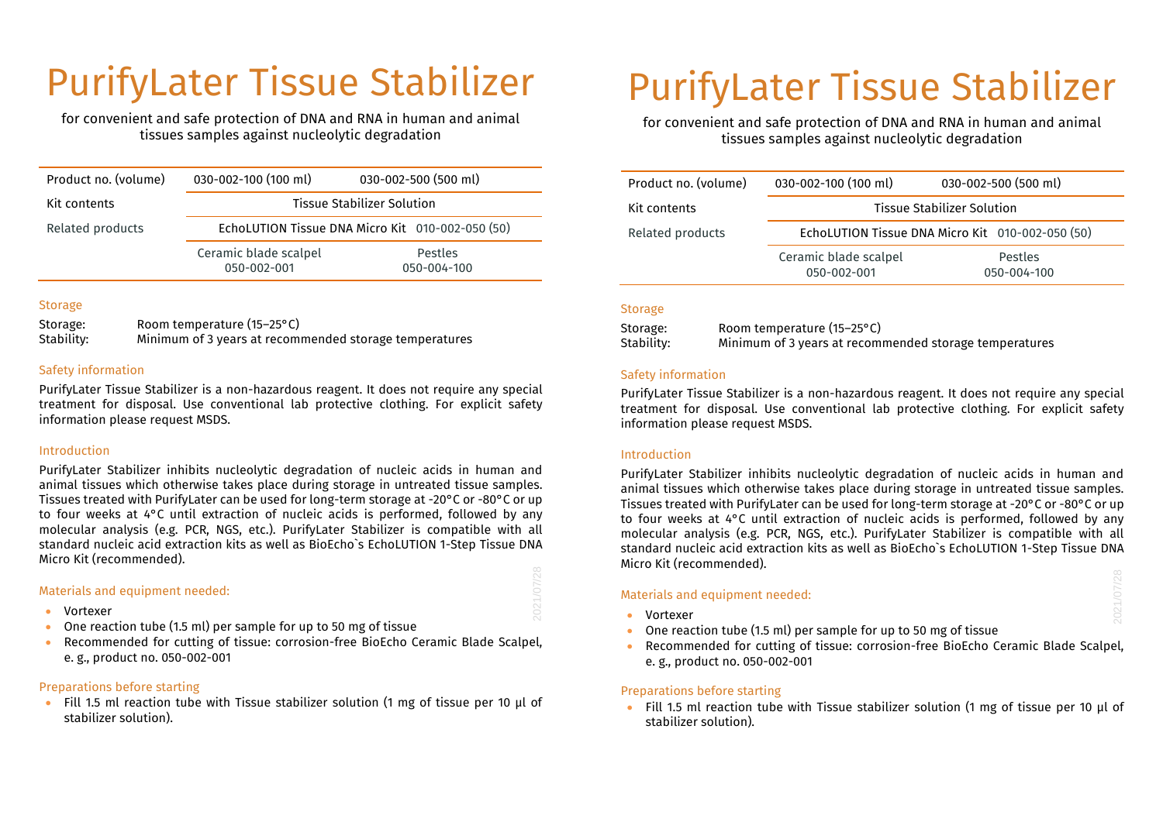# PurifyLater Tissue Stabilizer

for convenient and safe protection of DNA and RNA in human and animal tissues samples against nucleolytic degradation

| Product no. (volume) | 030-002-100 (100 ml)                             | 030-002-500 (500 ml)   |
|----------------------|--------------------------------------------------|------------------------|
| Kit contents         | <b>Tissue Stabilizer Solution</b>                |                        |
| Related products     | EchoLUTION Tissue DNA Micro Kit 010-002-050 (50) |                        |
|                      | Ceramic blade scalpel<br>050-002-001             | Pestles<br>050-004-100 |

### Storage

Storage: Room temperature (15–25°C) Stability: Minimum of 3 years at recommended storage temperatures

### Safety information

PurifyLater Tissue Stabilizer is a non-hazardous reagent. It does not require any special treatment for disposal. Use conventional lab protective clothing. For explicit safety information please request MSDS.

#### Introduction

PurifyLater Stabilizer inhibits nucleolytic degradation of nucleic acids in human and animal tissues which otherwise takes place during storage in untreated tissue samples. Tissues treated with PurifyLater can be used for long-term storage at -20°C or -80°C or up to four weeks at 4°C until extraction of nucleic acids is performed, followed by any molecular analysis (e.g. PCR, NGS, etc.). PurifyLater Stabilizer is compatible with all standard nucleic acid extraction kits as well as BioEcho`s EchoLUTION 1-Step Tissue DNA Micro Kit (recommended).

#### Materials and equipment needed:

- Vortexer
- One reaction tube (1.5 ml) per sample for up to 50 mg of tissue
- Recommended for cutting of tissue: corrosion-free BioEcho Ceramic Blade Scalpel, e. g., product no. 050-002-001

# Preparations before starting

• Fill 1.5 ml reaction tube with Tissue stabilizer solution (1 mg of tissue per 10 µl of stabilizer solution).

# PurifyLater Tissue Stabilizer

for convenient and safe protection of DNA and RNA in human and animal tissues samples against nucleolytic degradation

| Product no. (volume) | 030-002-100 (100 ml)                             | 030-002-500 (500 ml)   |
|----------------------|--------------------------------------------------|------------------------|
| Kit contents         | Tissue Stabilizer Solution                       |                        |
| Related products     | EchoLUTION Tissue DNA Micro Kit 010-002-050 (50) |                        |
|                      | Ceramic blade scalpel<br>050-002-001             | Pestles<br>050-004-100 |

#### Storage

| Storage:   | Room temperature (15-25°C)                             |
|------------|--------------------------------------------------------|
| Stability: | Minimum of 3 years at recommended storage temperatures |

### Safety information

PurifyLater Tissue Stabilizer is a non-hazardous reagent. It does not require any special treatment for disposal. Use conventional lab protective clothing. For explicit safety information please request MSDS.

#### Introduction

PurifyLater Stabilizer inhibits nucleolytic degradation of nucleic acids in human and animal tissues which otherwise takes place during storage in untreated tissue samples. Tissues treated with PurifyLater can be used for long-term storage at -20°C or -80°C or up to four weeks at 4°C until extraction of nucleic acids is performed, followed by any molecular analysis (e.g. PCR, NGS, etc.). PurifyLater Stabilizer is compatible with all standard nucleic acid extraction kits as well as BioEcho`s EchoLUTION 1-Step Tissue DNA Micro Kit (recommended).

# Materials and equipment needed:

• Vortexer

2021/07/28

- One reaction tube (1.5 ml) per sample for up to 50 mg of tissue
- Recommended for cutting of tissue: corrosion-free BioEcho Ceramic Blade Scalpel, e. g., product no. 050-002-001

# Preparations before starting

• Fill 1.5 ml reaction tube with Tissue stabilizer solution (1 mg of tissue per 10 µl of stabilizer solution).